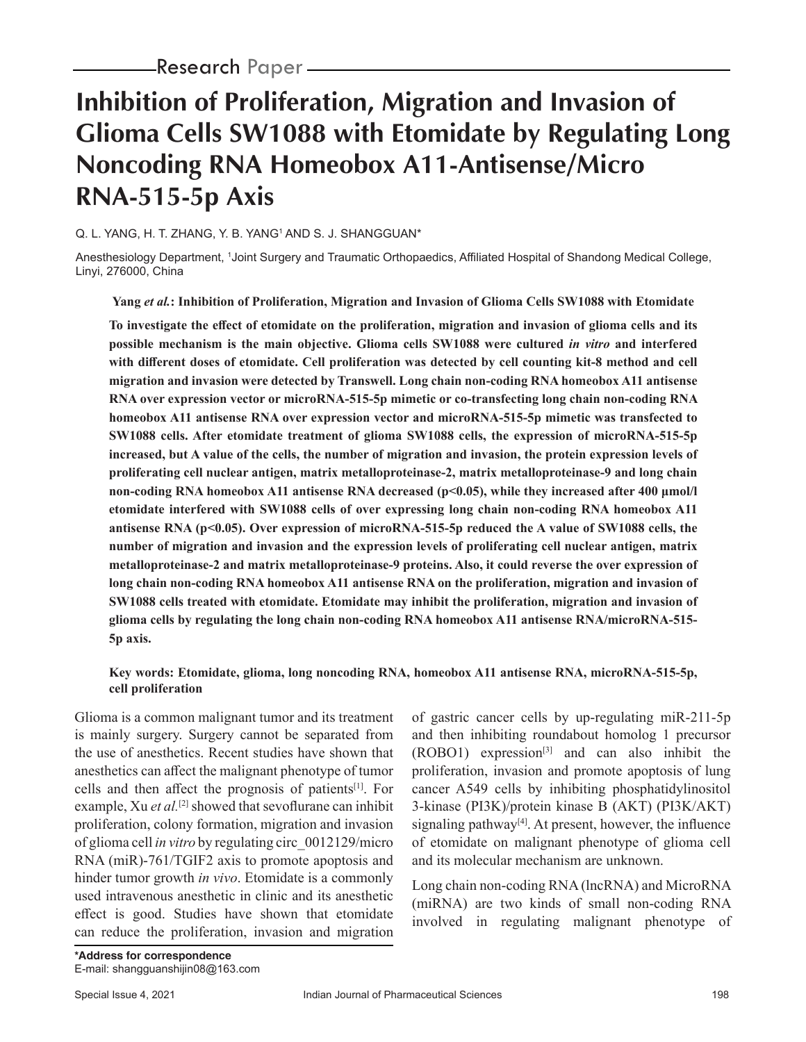# **Inhibition of Proliferation, Migration and Invasion of Glioma Cells SW1088 with Etomidate by Regulating Long Noncoding RNA Homeobox A11-Antisense/Micro RNA-515-5p Axis**

### Q. L. YANG, H. T. ZHANG, Y. B. YANG1 AND S. J. SHANGGUAN\*

Anesthesiology Department, 1Joint Surgery and Traumatic Orthopaedics, Affiliated Hospital of Shandong Medical College, Linyi, 276000, China

**Yang** *et al.***: Inhibition of Proliferation, Migration and Invasion of Glioma Cells SW1088 with Etomidate**

**To investigate the effect of etomidate on the proliferation, migration and invasion of glioma cells and its possible mechanism is the main objective. Glioma cells SW1088 were cultured** *in vitro* **and interfered with different doses of etomidate. Cell proliferation was detected by cell counting kit-8 method and cell migration and invasion were detected by Transwell. Long chain non-coding RNA homeobox A11 antisense RNA over expression vector or microRNA-515-5p mimetic or co-transfecting long chain non-coding RNA homeobox A11 antisense RNA over expression vector and microRNA-515-5p mimetic was transfected to SW1088 cells. After etomidate treatment of glioma SW1088 cells, the expression of microRNA-515-5p increased, but A value of the cells, the number of migration and invasion, the protein expression levels of proliferating cell nuclear antigen, matrix metalloproteinase-2, matrix metalloproteinase-9 and long chain non-coding RNA homeobox A11 antisense RNA decreased (p<0.05), while they increased after 400 μmol/l etomidate interfered with SW1088 cells of over expressing long chain non-coding RNA homeobox A11 antisense RNA (p<0.05). Over expression of microRNA-515-5p reduced the A value of SW1088 cells, the number of migration and invasion and the expression levels of proliferating cell nuclear antigen, matrix metalloproteinase-2 and matrix metalloproteinase-9 proteins. Also, it could reverse the over expression of long chain non-coding RNA homeobox A11 antisense RNA on the proliferation, migration and invasion of SW1088 cells treated with etomidate. Etomidate may inhibit the proliferation, migration and invasion of glioma cells by regulating the long chain non-coding RNA homeobox A11 antisense RNA/microRNA-515- 5p axis.**

### **Key words: Etomidate, glioma, long noncoding RNA, homeobox A11 antisense RNA, microRNA-515-5p, cell proliferation**

Glioma is a common malignant tumor and its treatment is mainly surgery. Surgery cannot be separated from the use of anesthetics. Recent studies have shown that anesthetics can affect the malignant phenotype of tumor cells and then affect the prognosis of patients[1]. For example, Xu *et al.*[2] showed that sevoflurane can inhibit proliferation, colony formation, migration and invasion of glioma cell *in vitro* by regulating circ\_0012129/micro RNA (miR)-761/TGIF2 axis to promote apoptosis and hinder tumor growth *in vivo*. Etomidate is a commonly used intravenous anesthetic in clinic and its anesthetic effect is good. Studies have shown that etomidate can reduce the proliferation, invasion and migration

of gastric cancer cells by up-regulating miR-211-5p and then inhibiting roundabout homolog 1 precursor  $(ROBO1)$  expression<sup>[3]</sup> and can also inhibit the proliferation, invasion and promote apoptosis of lung cancer A549 cells by inhibiting phosphatidylinositol 3-kinase (PI3K)/protein kinase B (AKT) (PI3K/AKT) signaling pathway $[4]$ . At present, however, the influence of etomidate on malignant phenotype of glioma cell and its molecular mechanism are unknown.

Long chain non-coding RNA (lncRNA) and MicroRNA (miRNA) are two kinds of small non-coding RNA involved in regulating malignant phenotype of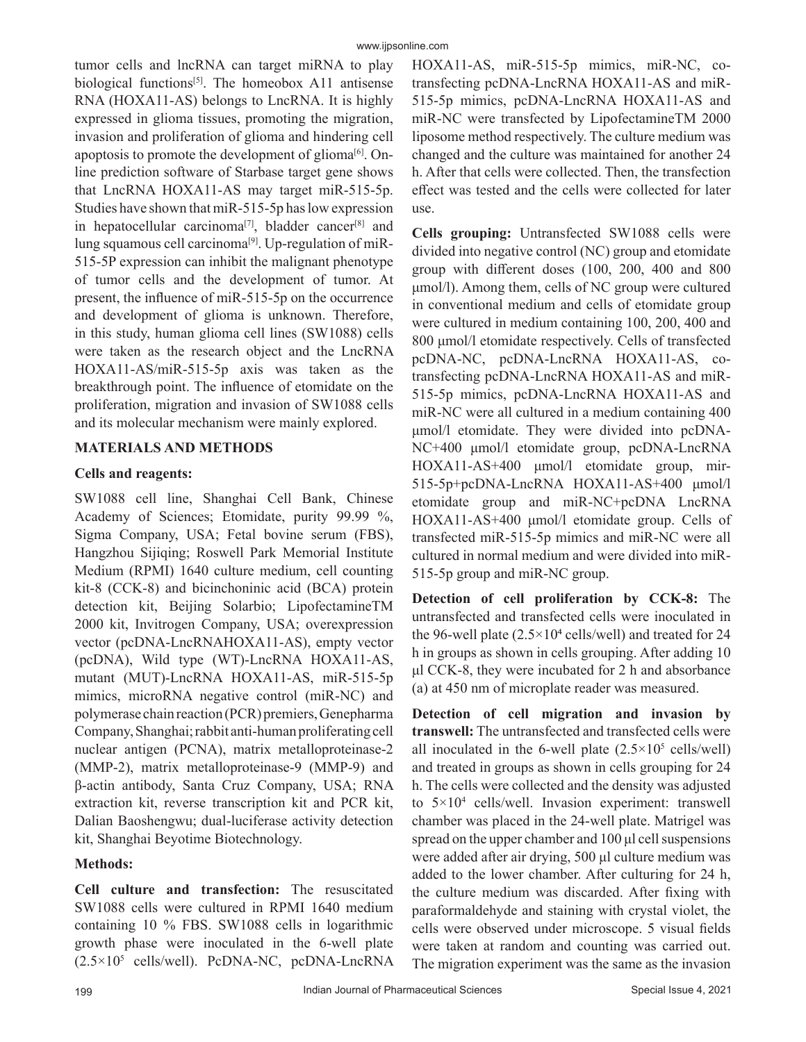tumor cells and lncRNA can target miRNA to play biological functions<sup>[5]</sup>. The homeobox A11 antisense RNA (HOXA11-AS) belongs to LncRNA. It is highly expressed in glioma tissues, promoting the migration, invasion and proliferation of glioma and hindering cell apoptosis to promote the development of glioma<sup>[6]</sup>. Online prediction software of Starbase target gene shows that LncRNA HOXA11-AS may target miR-515-5p. Studies have shown that miR-515-5p has low expression in hepatocellular carcinoma<sup>[7]</sup>, bladder cancer<sup>[8]</sup> and lung squamous cell carcinoma<sup>[9]</sup>. Up-regulation of miR-515-5P expression can inhibit the malignant phenotype of tumor cells and the development of tumor. At present, the influence of miR-515-5p on the occurrence and development of glioma is unknown. Therefore, in this study, human glioma cell lines (SW1088) cells were taken as the research object and the LncRNA HOXA11-AS/miR-515-5p axis was taken as the breakthrough point. The influence of etomidate on the proliferation, migration and invasion of SW1088 cells and its molecular mechanism were mainly explored.

# **MATERIALS AND METHODS**

### **Cells and reagents:**

SW1088 cell line, Shanghai Cell Bank, Chinese Academy of Sciences; Etomidate, purity 99.99 %, Sigma Company, USA; Fetal bovine serum (FBS), Hangzhou Sijiqing; Roswell Park Memorial Institute Medium (RPMI) 1640 culture medium, cell counting kit-8 (CCK-8) and bicinchoninic acid (BCA) protein detection kit, Beijing Solarbio; LipofectamineTM 2000 kit, Invitrogen Company, USA; overexpression vector (pcDNA-LncRNAHOXA11-AS), empty vector (pcDNA), Wild type (WT)-LncRNA HOXA11-AS, mutant (MUT)-LncRNA HOXA11-AS, miR-515-5p mimics, microRNA negative control (miR-NC) and polymerase chain reaction (PCR) premiers, Genepharma Company, Shanghai; rabbit anti-human proliferating cell nuclear antigen (PCNA), matrix metalloproteinase-2 (MMP-2), matrix metalloproteinase-9 (MMP-9) and β-actin antibody, Santa Cruz Company, USA; RNA extraction kit, reverse transcription kit and PCR kit, Dalian Baoshengwu; dual-luciferase activity detection kit, Shanghai Beyotime Biotechnology.

# **Methods:**

**Cell culture and transfection:** The resuscitated SW1088 cells were cultured in RPMI 1640 medium containing 10 % FBS. SW1088 cells in logarithmic growth phase were inoculated in the 6-well plate (2.5×105 cells/well). PcDNA-NC, pcDNA-LncRNA HOXA11-AS, miR-515-5p mimics, miR-NC, cotransfecting pcDNA-LncRNA HOXA11-AS and miR-515-5p mimics, pcDNA-LncRNA HOXA11-AS and miR-NC were transfected by LipofectamineTM 2000 liposome method respectively. The culture medium was changed and the culture was maintained for another 24 h. After that cells were collected. Then, the transfection effect was tested and the cells were collected for later use.

**Cells grouping:** Untransfected SW1088 cells were divided into negative control (NC) group and etomidate group with different doses (100, 200, 400 and 800 μmol/l). Among them, cells of NC group were cultured in conventional medium and cells of etomidate group were cultured in medium containing 100, 200, 400 and 800 μmol/l etomidate respectively. Cells of transfected pcDNA-NC, pcDNA-LncRNA HOXA11-AS, cotransfecting pcDNA-LncRNA HOXA11-AS and miR-515-5p mimics, pcDNA-LncRNA HOXA11-AS and miR-NC were all cultured in a medium containing 400 μmol/l etomidate. They were divided into pcDNA-NC+400 μmol/l etomidate group, pcDNA-LncRNA HOXA11-AS+400 μmol/l etomidate group, mir-515-5p+pcDNA-LncRNA HOXA11-AS+400 μmol/l etomidate group and miR-NC+pcDNA LncRNA HOXA11-AS+400 μmol/l etomidate group. Cells of transfected miR-515-5p mimics and miR-NC were all cultured in normal medium and were divided into miR-515-5p group and miR-NC group.

**Detection of cell proliferation by CCK-8:** The untransfected and transfected cells were inoculated in the 96-well plate  $(2.5 \times 10^4 \text{ cells/well})$  and treated for 24 h in groups as shown in cells grouping. After adding 10 μl CCK-8, they were incubated for 2 h and absorbance (a) at 450 nm of microplate reader was measured.

**Detection of cell migration and invasion by transwell:** The untransfected and transfected cells were all inoculated in the 6-well plate  $(2.5 \times 10^5 \text{ cells/well})$ and treated in groups as shown in cells grouping for 24 h. The cells were collected and the density was adjusted to 5×104 cells/well. Invasion experiment: transwell chamber was placed in the 24-well plate. Matrigel was spread on the upper chamber and 100 μl cell suspensions were added after air drying, 500 μl culture medium was added to the lower chamber. After culturing for 24 h, the culture medium was discarded. After fixing with paraformaldehyde and staining with crystal violet, the cells were observed under microscope. 5 visual fields were taken at random and counting was carried out. The migration experiment was the same as the invasion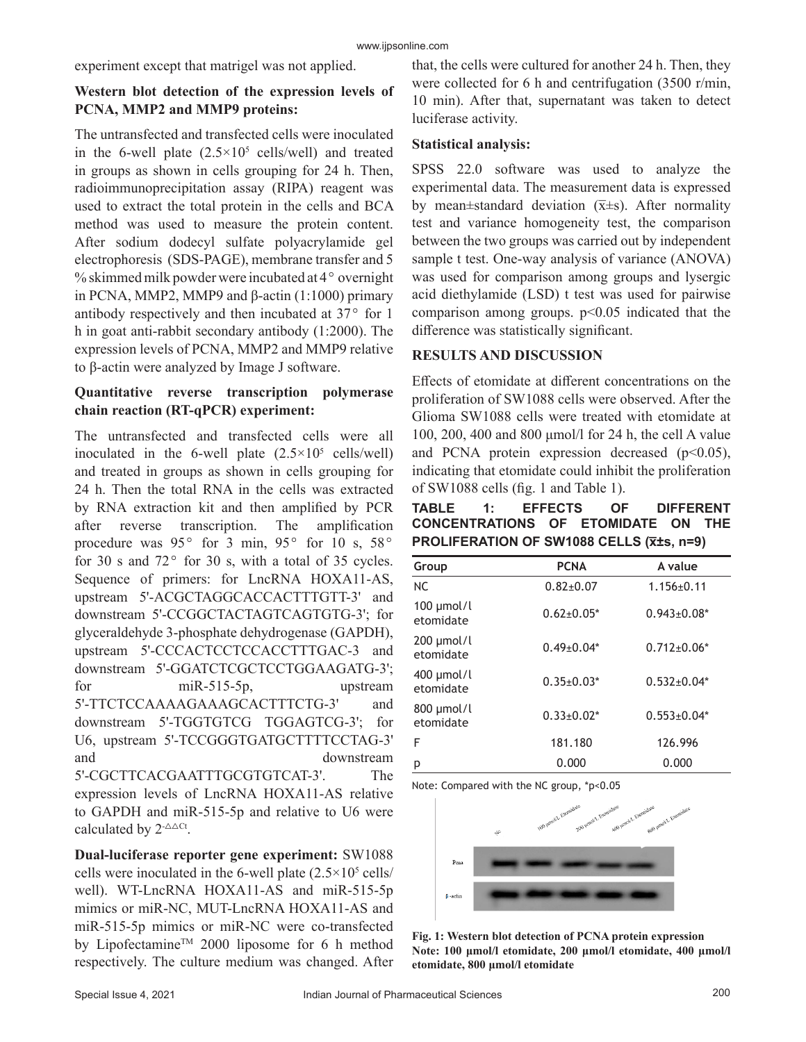experiment except that matrigel was not applied.

# **Western blot detection of the expression levels of PCNA, MMP2 and MMP9 proteins:**

The untransfected and transfected cells were inoculated in the 6-well plate  $(2.5 \times 10^5 \text{ cells/well})$  and treated in groups as shown in cells grouping for 24 h. Then, radioimmunoprecipitation assay (RIPA) reagent was used to extract the total protein in the cells and BCA method was used to measure the protein content. After sodium dodecyl sulfate polyacrylamide gel electrophoresis (SDS-PAGE), membrane transfer and 5  $%$  skimmed milk powder were incubated at 4 $\degree$  overnight in PCNA, MMP2, MMP9 and β-actin (1:1000) primary antibody respectively and then incubated at  $37^{\circ}$  for 1 h in goat anti-rabbit secondary antibody (1:2000). The expression levels of PCNA, MMP2 and MMP9 relative to β-actin were analyzed by Image J software.

# **Quantitative reverse transcription polymerase chain reaction (RT-qPCR) experiment:**

The untransfected and transfected cells were all inoculated in the 6-well plate  $(2.5 \times 10^5 \text{ cells/well})$ and treated in groups as shown in cells grouping for 24 h. Then the total RNA in the cells was extracted by RNA extraction kit and then amplified by PCR after reverse transcription. The amplification procedure was  $95^{\circ}$  for 3 min,  $95^{\circ}$  for 10 s,  $58^{\circ}$ for 30 s and  $72^{\circ}$  for 30 s, with a total of 35 cycles. Sequence of primers: for LncRNA HOXA11-AS, upstream 5'-ACGCTAGGCACCACTTTGTT-3' and downstream 5'-CCGGCTACTAGTCAGTGTG-3'; for glyceraldehyde 3-phosphate dehydrogenase (GAPDH), upstream 5'-CCCACTCCTCCACCTTTGAC-3 and downstream 5'-GGATCTCGCTCCTGGAAGATG-3'; for miR-515-5p, upstream 5'-TTCTCCAAAAGAAAGCACTTTCTG-3' and downstream 5'-TGGTGTCG TGGAGTCG-3'; for U6, upstream 5'-TCCGGGTGATGCTTTTCCTAG-3' and downstream 5'-CGCTTCACGAATTTGCGTGTCAT-3'. The expression levels of LncRNA HOXA11-AS relative to GAPDH and miR-515-5p and relative to U6 were calculated by  $2^{-\Delta\Delta Ct}$ .

**Dual-luciferase reporter gene experiment:** SW1088 cells were inoculated in the 6-well plate  $(2.5 \times 10^5 \text{ cells})$ well). WT-LncRNA HOXA11-AS and miR-515-5p mimics or miR-NC, MUT-LncRNA HOXA11-AS and miR-515-5p mimics or miR-NC were co-transfected by Lipofectamine™ 2000 liposome for 6 h method respectively. The culture medium was changed. After

that, the cells were cultured for another 24 h. Then, they were collected for 6 h and centrifugation (3500 r/min, 10 min). After that, supernatant was taken to detect luciferase activity.

#### **Statistical analysis:**

SPSS 22.0 software was used to analyze the experimental data. The measurement data is expressed by mean±standard deviation  $(\bar{x} \pm s)$ . After normality test and variance homogeneity test, the comparison between the two groups was carried out by independent sample t test. One-way analysis of variance (ANOVA) was used for comparison among groups and lysergic acid diethylamide (LSD) t test was used for pairwise comparison among groups.  $p<0.05$  indicated that the difference was statistically significant.

# **RESULTS AND DISCUSSION**

Effects of etomidate at different concentrations on the proliferation of SW1088 cells were observed. After the Glioma SW1088 cells were treated with etomidate at 100, 200, 400 and 800 μmol/l for 24 h, the cell A value and PCNA protein expression decreased  $(p<0.05)$ , indicating that etomidate could inhibit the proliferation of SW1088 cells (fig. 1 and Table 1).

**TABLE 1: EFFECTS OF DIFFERENT CONCENTRATIONS OF ETOMIDATE ON THE PROLIFERATION OF SW1088 CELLS (x̅±s, n=9)**

| Group                        | <b>PCNA</b>      | A value           |
|------------------------------|------------------|-------------------|
| NC.                          | $0.82 + 0.07$    | $1.156 \pm 0.11$  |
| $100 \mu$ mol/l<br>etomidate | $0.62 \pm 0.05*$ | $0.943 \pm 0.08*$ |
| $200 \mu$ mol/l<br>etomidate | $0.49 \pm 0.04*$ | $0.712 \pm 0.06*$ |
| $400 \mu$ mol/l<br>etomidate | $0.35 \pm 0.03*$ | $0.532 \pm 0.04*$ |
| 800 µmol/l<br>etomidate      | $0.33 \pm 0.02*$ | $0.553 \pm 0.04*$ |
| F                            | 181.180          | 126.996           |
| р                            | 0.000            | 0.000             |

Note: Compared with the NC group, \*p<0.05



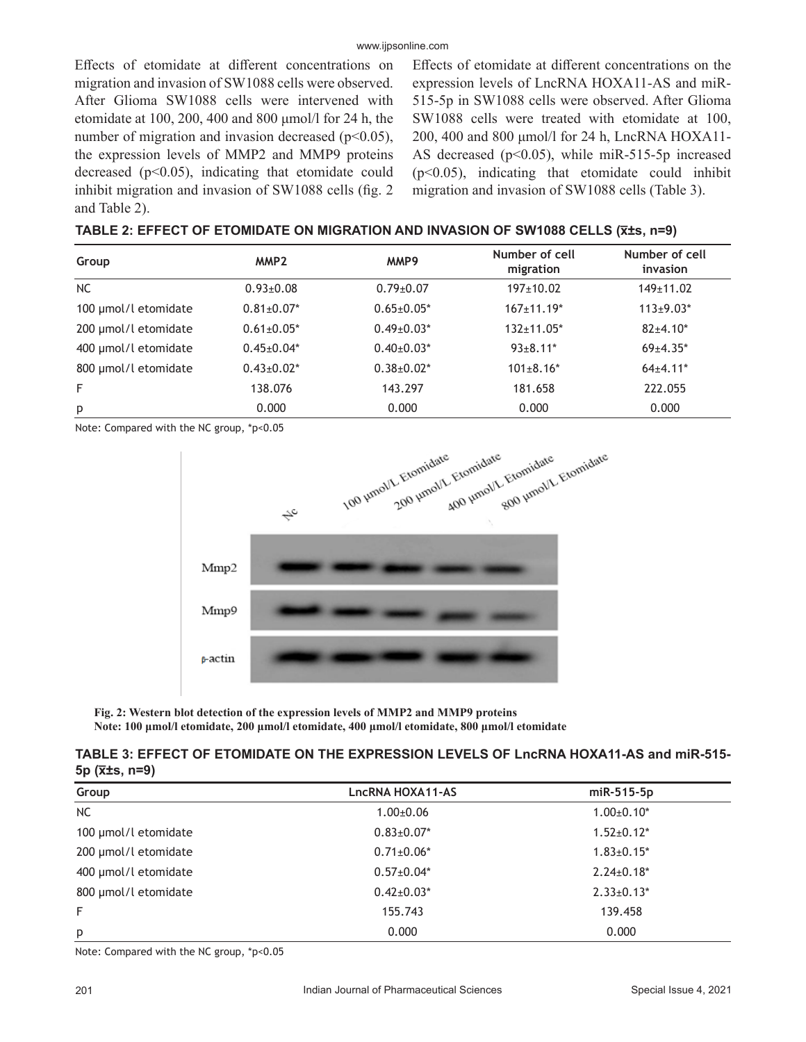Effects of etomidate at different concentrations on migration and invasion of SW1088 cells were observed. After Glioma SW1088 cells were intervened with etomidate at 100, 200, 400 and 800 μmol/l for 24 h, the number of migration and invasion decreased ( $p<0.05$ ), the expression levels of MMP2 and MMP9 proteins decreased  $(p<0.05)$ , indicating that etomidate could inhibit migration and invasion of SW1088 cells (fig. 2 and Table 2).

Effects of etomidate at different concentrations on the expression levels of LncRNA HOXA11-AS and miR-515-5p in SW1088 cells were observed. After Glioma SW1088 cells were treated with etomidate at 100, 200, 400 and 800 μmol/l for 24 h, LncRNA HOXA11- AS decreased ( $p<0.05$ ), while miR-515-5p increased  $(p<0.05)$ , indicating that etomidate could inhibit migration and invasion of SW1088 cells (Table 3).

| Group                | MMP <sub>2</sub>  | MMP9              | Number of cell<br>migration | Number of cell<br>invasion |
|----------------------|-------------------|-------------------|-----------------------------|----------------------------|
| <b>NC</b>            | $0.93 \pm 0.08$   | $0.79 \pm 0.07$   | $197+10.02$                 | $149+11.02$                |
| 100 µmol/l etomidate | $0.81 \pm 0.07$ * | $0.65 \pm 0.05*$  | $167+11.19*$                | $113 \pm 9.03*$            |
| 200 µmol/l etomidate | $0.61 \pm 0.05$ * | $0.49 \pm 0.03*$  | $132+11.05*$                | $82+4.10*$                 |
| 400 µmol/l etomidate | $0.45 \pm 0.04*$  | $0.40\pm0.03*$    | $93 \pm 8.11$ *             | $69+4.35*$                 |
| 800 µmol/l etomidate | $0.43 \pm 0.02^*$ | $0.38 \pm 0.02^*$ | $101 \pm 8.16*$             | $64+4.11*$                 |
| F                    | 138.076           | 143.297           | 181.658                     | 222.055                    |
| p                    | 0.000             | 0.000             | 0.000                       | 0.000                      |

Note: Compared with the NC group, \*p<0.05



**Fig. 2: Western blot detection of the expression levels of MMP2 and MMP9 proteins Note: 100 μmol/l etomidate, 200 μmol/l etomidate, 400 μmol/l etomidate, 800 μmol/l etomidate**

#### **TABLE 3: EFFECT OF ETOMIDATE ON THE EXPRESSION LEVELS OF LncRNA HOXA11-AS and miR-515- 5p (x̅±s, n=9)**

| Group                | LncRNA HOXA11-AS | miR-515-5p        |
|----------------------|------------------|-------------------|
| <b>NC</b>            | $1.00 \pm 0.06$  | $1.00 \pm 0.10^*$ |
| 100 µmol/l etomidate | $0.83 \pm 0.07*$ | $1.52 \pm 0.12^*$ |
| 200 µmol/l etomidate | $0.71 \pm 0.06*$ | $1.83 \pm 0.15^*$ |
| 400 µmol/l etomidate | $0.57 \pm 0.04*$ | $2.24 \pm 0.18^*$ |
| 800 µmol/l etomidate | $0.42 \pm 0.03*$ | $2.33 \pm 0.13*$  |
| F                    | 155.743          | 139.458           |
| p                    | 0.000            | 0.000             |

Note: Compared with the NC group, \*p<0.05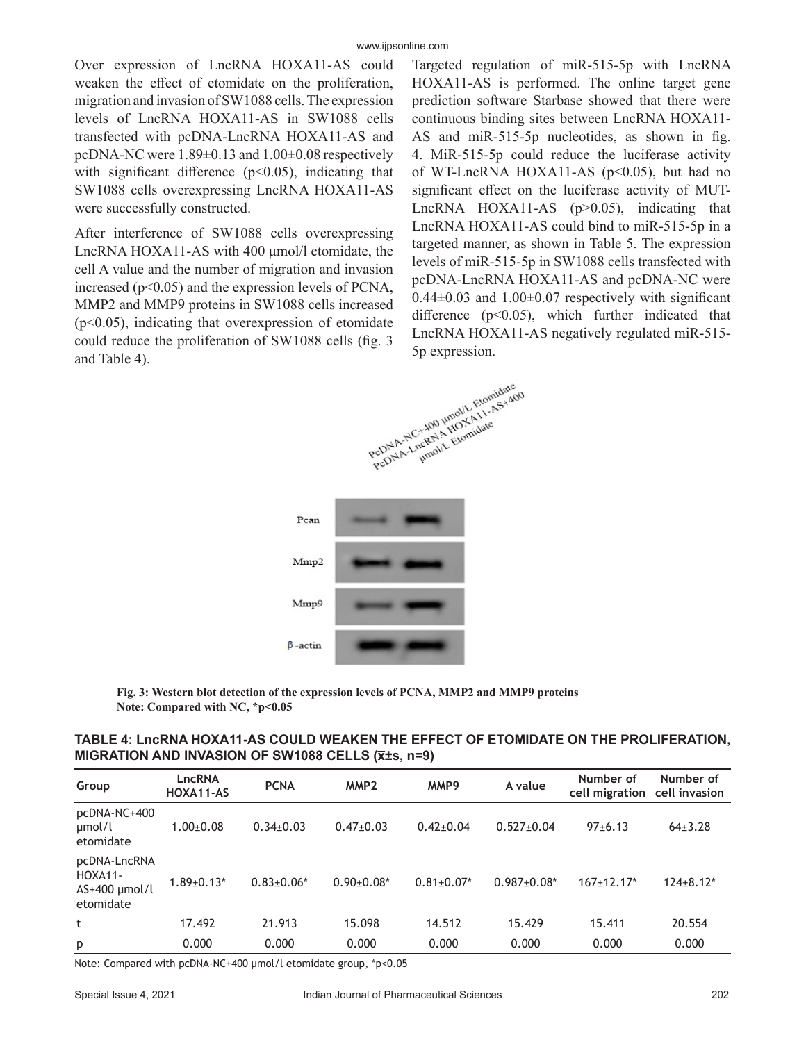Over expression of LncRNA HOXA11-AS could weaken the effect of etomidate on the proliferation, migration and invasion of SW1088 cells. The expression levels of LncRNA HOXA11-AS in SW1088 cells transfected with pcDNA-LncRNA HOXA11-AS and pcDNA-NC were 1.89±0.13 and 1.00±0.08 respectively with significant difference  $(p<0.05)$ , indicating that SW1088 cells overexpressing LncRNA HOXA11-AS were successfully constructed.

After interference of SW1088 cells overexpressing LncRNA HOXA11-AS with 400 μmol/l etomidate, the cell A value and the number of migration and invasion increased ( $p<0.05$ ) and the expression levels of PCNA, MMP2 and MMP9 proteins in SW1088 cells increased  $(p<0.05)$ , indicating that overexpression of etomidate could reduce the proliferation of SW1088 cells (fig. 3 and Table 4).

Targeted regulation of miR-515-5p with LncRNA HOXA11-AS is performed. The online target gene prediction software Starbase showed that there were continuous binding sites between LncRNA HOXA11- AS and miR-515-5p nucleotides, as shown in fig. 4. MiR-515-5p could reduce the luciferase activity of WT-LncRNA HOXA11-AS (p<0.05), but had no significant effect on the luciferase activity of MUT-LncRNA HOXA11-AS (p>0.05), indicating that LncRNA HOXA11-AS could bind to miR-515-5p in a targeted manner, as shown in Table 5. The expression levels of miR-515-5p in SW1088 cells transfected with pcDNA-LncRNA HOXA11-AS and pcDNA-NC were  $0.44\pm0.03$  and  $1.00\pm0.07$  respectively with significant difference  $(p<0.05)$ , which further indicated that LncRNA HOXA11-AS negatively regulated miR-515- 5p expression.



**Fig. 3: Western blot detection of the expression levels of PCNA, MMP2 and MMP9 proteins Note: Compared with NC, \*p<0.05**

| TABLE 4: LncRNA HOXA11-AS COULD WEAKEN THE EFFECT OF ETOMIDATE ON THE PROLIFERATION, |
|--------------------------------------------------------------------------------------|
| MIGRATION AND INVASION OF SW1088 CELLS (X±s, n=9)                                    |

| Group                                                   | LncRNA<br>HOXA11-AS | <b>PCNA</b>      | MMP <sub>2</sub> | MMP9             | A value            | Number of<br>cell migration | Number of<br>cell invasion |
|---------------------------------------------------------|---------------------|------------------|------------------|------------------|--------------------|-----------------------------|----------------------------|
| pcDNA-NC+400<br>µmol/l<br>etomidate                     | $1.00 + 0.08$       | $0.34\pm0.03$    | $0.47 \pm 0.03$  | $0.42 \pm 0.04$  | $0.527 \pm 0.04$   | $97+6.13$                   | $64+3.28$                  |
| pcDNA-LncRNA<br>HOXA11-<br>$AS+400$ µmol/l<br>etomidate | $1.89 \pm 0.13*$    | $0.83 \pm 0.06*$ | $0.90+0.08*$     | $0.81 \pm 0.07*$ | $0.987 \pm 0.08$ * | $167+12.17*$                | $124 \pm 8.12*$            |
| t                                                       | 17.492              | 21.913           | 15.098           | 14.512           | 15.429             | 15.411                      | 20.554                     |
| p                                                       | 0.000               | 0.000            | 0.000            | 0.000            | 0.000              | 0.000                       | 0.000                      |

Note: Compared with pcDNA-NC+400 μmol/l etomidate group, \*p<0.05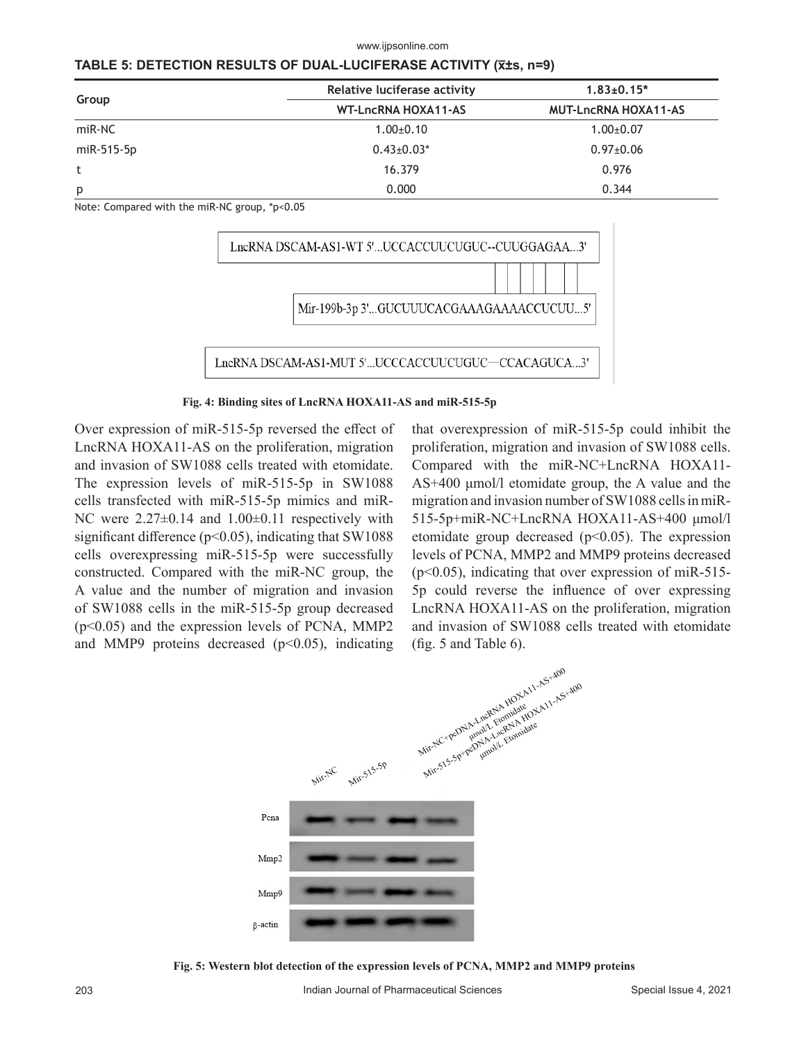#### www.ijpsonline.com

| TABLE 5: DETECTION RESULTS OF DUAL-LUCIFERASE ACTIVITY (x±s, n=9) |  |
|-------------------------------------------------------------------|--|
|-------------------------------------------------------------------|--|

|            | Relative luciferase activity | $1.83 \pm 0.15$ *           |  |  |
|------------|------------------------------|-----------------------------|--|--|
| Group      | <b>WT-LncRNA HOXA11-AS</b>   | <b>MUT-LncRNA HOXA11-AS</b> |  |  |
| miR-NC     | $1.00+0.10$                  | $1.00 \pm 0.07$             |  |  |
| miR-515-5p | $0.43 \pm 0.03*$             | $0.97 \pm 0.06$             |  |  |
|            | 16.379                       | 0.976                       |  |  |
| p          | 0.000                        | 0.344                       |  |  |

Note: Compared with the miR-NC group, \*p<0.05



**Fig. 4: Binding sites of LncRNA HOXA11-AS and miR-515-5p**

Over expression of miR-515-5p reversed the effect of LncRNA HOXA11-AS on the proliferation, migration and invasion of SW1088 cells treated with etomidate. The expression levels of miR-515-5p in SW1088 cells transfected with miR-515-5p mimics and miR-NC were  $2.27\pm0.14$  and  $1.00\pm0.11$  respectively with significant difference ( $p$ <0.05), indicating that SW1088 cells overexpressing miR-515-5p were successfully constructed. Compared with the miR-NC group, the A value and the number of migration and invasion of SW1088 cells in the miR-515-5p group decreased (p<0.05) and the expression levels of PCNA, MMP2 and MMP9 proteins decreased  $(p<0.05)$ , indicating that overexpression of miR-515-5p could inhibit the proliferation, migration and invasion of SW1088 cells. Compared with the miR-NC+LncRNA HOXA11- AS+400 μmol/l etomidate group, the A value and the migration and invasion number of SW1088 cells in miR-515-5p+miR-NC+LncRNA HOXA11-AS+400 μmol/l etomidate group decreased  $(p<0.05)$ . The expression levels of PCNA, MMP2 and MMP9 proteins decreased  $(p<0.05)$ , indicating that over expression of miR-515-5p could reverse the influence of over expressing LncRNA HOXA11-AS on the proliferation, migration and invasion of SW1088 cells treated with etomidate



**Fig. 5: Western blot detection of the expression levels of PCNA, MMP2 and MMP9 proteins**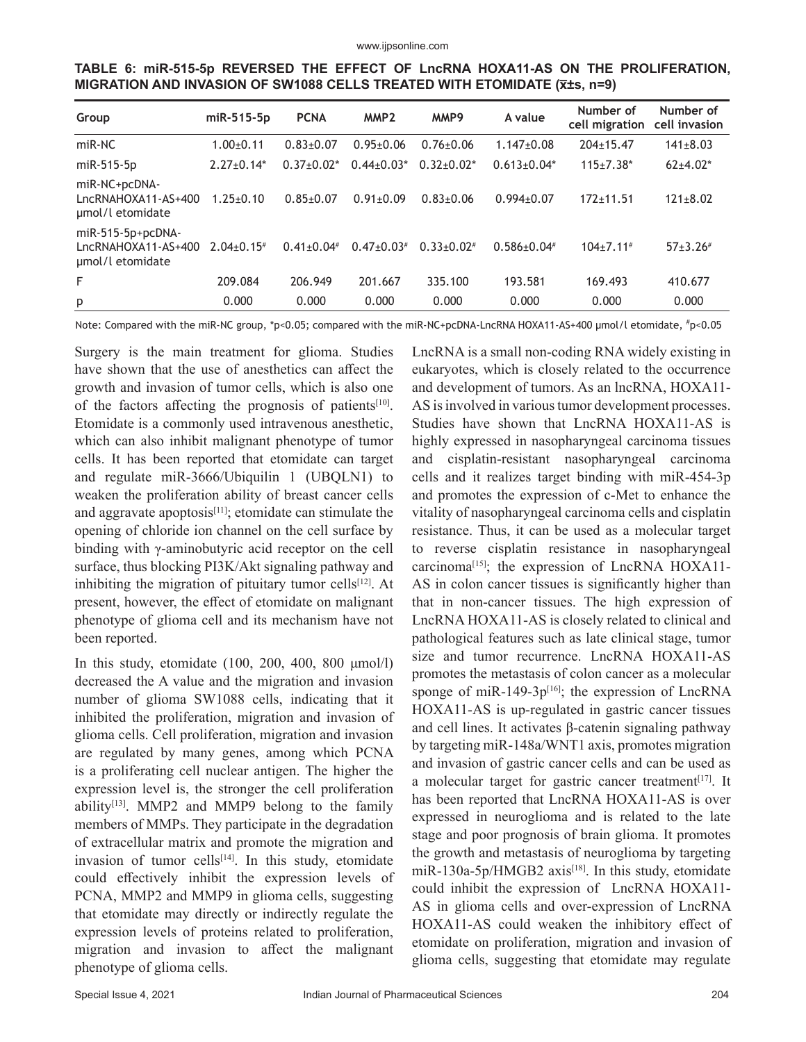|                                                                          |  |  | TABLE 6: miR-515-5p REVERSED THE EFFECT OF LncRNA HOXA11-AS ON THE PROLIFERATION, |  |
|--------------------------------------------------------------------------|--|--|-----------------------------------------------------------------------------------|--|
| MIGRATION AND INVASION OF SW1088 CELLS TREATED WITH ETOMIDATE (Xts, n=9) |  |  |                                                                                   |  |

| Group                                                        | miR-515-5p        | <b>PCNA</b>   | MMP <sub>2</sub> | MMP9            | A value            | Number of<br>cell migration | Number of<br>cell invasion |
|--------------------------------------------------------------|-------------------|---------------|------------------|-----------------|--------------------|-----------------------------|----------------------------|
| miR-NC                                                       | $1.00+0.11$       | $0.83 + 0.07$ | $0.95 \pm 0.06$  | $0.76 \pm 0.06$ | $1.147 \pm 0.08$   | $204 \pm 15.47$             | $141 \pm 8.03$             |
| miR-515-5p                                                   | $2.27+0.14*$      | $0.37+0.02*$  | $0.44 \pm 0.03*$ | $0.32+0.02*$    | $0.613 \pm 0.04*$  | $115 \pm 7.38*$             | $62+4.02*$                 |
| miR-NC+pcDNA-<br>LncRNAHOXA11-AS+400<br>umol/l etomidate     | $1.25 \pm 0.10$   | $0.85 + 0.07$ | $0.91 \pm 0.09$  | $0.83 + 0.06$   | $0.994 \pm 0.07$   | $172 + 11.51$               | $121 \pm 8.02$             |
| miR-515-5p+pcDNA-<br>LncRNAHOXA11-AS+400<br>umol/l etomidate | $2.04\pm0.15^{*}$ | $0.41 + 0.04$ | $0.47+0.03*$     | $0.33+0.02*$    | $0.586 \pm 0.04$ # | $104+7.11$ <sup>#</sup>     | $57+3.26$ #                |
| F                                                            | 209.084           | 206.949       | 201.667          | 335.100         | 193.581            | 169.493                     | 410.677                    |
| p                                                            | 0.000             | 0.000         | 0.000            | 0.000           | 0.000              | 0.000                       | 0.000                      |

Note: Compared with the miR-NC group, \*p<0.05; compared with the miR-NC+pcDNA-LncRNA HOXA11-AS+400 μmol/l etomidate, # p<0.05

Surgery is the main treatment for glioma. Studies have shown that the use of anesthetics can affect the growth and invasion of tumor cells, which is also one of the factors affecting the prognosis of patients<sup>[10]</sup>. Etomidate is a commonly used intravenous anesthetic, which can also inhibit malignant phenotype of tumor cells. It has been reported that etomidate can target and regulate miR-3666/Ubiquilin 1 (UBQLN1) to weaken the proliferation ability of breast cancer cells and aggravate apoptosis<sup>[11]</sup>; etomidate can stimulate the opening of chloride ion channel on the cell surface by binding with γ-aminobutyric acid receptor on the cell surface, thus blocking PI3K/Akt signaling pathway and inhibiting the migration of pituitary tumor cells $[12]$ . At present, however, the effect of etomidate on malignant phenotype of glioma cell and its mechanism have not been reported.

In this study, etomidate (100, 200, 400, 800 μmol/l) decreased the A value and the migration and invasion number of glioma SW1088 cells, indicating that it inhibited the proliferation, migration and invasion of glioma cells. Cell proliferation, migration and invasion are regulated by many genes, among which PCNA is a proliferating cell nuclear antigen. The higher the expression level is, the stronger the cell proliferation ability<sup>[13]</sup>. MMP2 and MMP9 belong to the family members of MMPs. They participate in the degradation of extracellular matrix and promote the migration and invasion of tumor cells<sup>[14]</sup>. In this study, etomidate could effectively inhibit the expression levels of PCNA, MMP2 and MMP9 in glioma cells, suggesting that etomidate may directly or indirectly regulate the expression levels of proteins related to proliferation, migration and invasion to affect the malignant phenotype of glioma cells.

LncRNA is a small non-coding RNA widely existing in eukaryotes, which is closely related to the occurrence and development of tumors. As an lncRNA, HOXA11- AS is involved in various tumor development processes. Studies have shown that LncRNA HOXA11-AS is highly expressed in nasopharyngeal carcinoma tissues and cisplatin-resistant nasopharyngeal carcinoma cells and it realizes target binding with miR-454-3p and promotes the expression of c-Met to enhance the vitality of nasopharyngeal carcinoma cells and cisplatin resistance. Thus, it can be used as a molecular target to reverse cisplatin resistance in nasopharyngeal carcinoma<sup>[15]</sup>; the expression of LncRNA HOXA11-AS in colon cancer tissues is significantly higher than that in non-cancer tissues. The high expression of LncRNA HOXA11-AS is closely related to clinical and pathological features such as late clinical stage, tumor size and tumor recurrence. LncRNA HOXA11-AS promotes the metastasis of colon cancer as a molecular sponge of miR-149-3 $p^{[16]}$ ; the expression of LncRNA HOXA11-AS is up-regulated in gastric cancer tissues and cell lines. It activates β-catenin signaling pathway by targeting miR-148a/WNT1 axis, promotes migration and invasion of gastric cancer cells and can be used as a molecular target for gastric cancer treatment<sup>[17]</sup>. It has been reported that LncRNA HOXA11-AS is over expressed in neuroglioma and is related to the late stage and poor prognosis of brain glioma. It promotes the growth and metastasis of neuroglioma by targeting miR-130a-5p/HMGB2 axis<sup>[18]</sup>. In this study, etomidate could inhibit the expression of LncRNA HOXA11- AS in glioma cells and over-expression of LncRNA HOXA11-AS could weaken the inhibitory effect of etomidate on proliferation, migration and invasion of glioma cells, suggesting that etomidate may regulate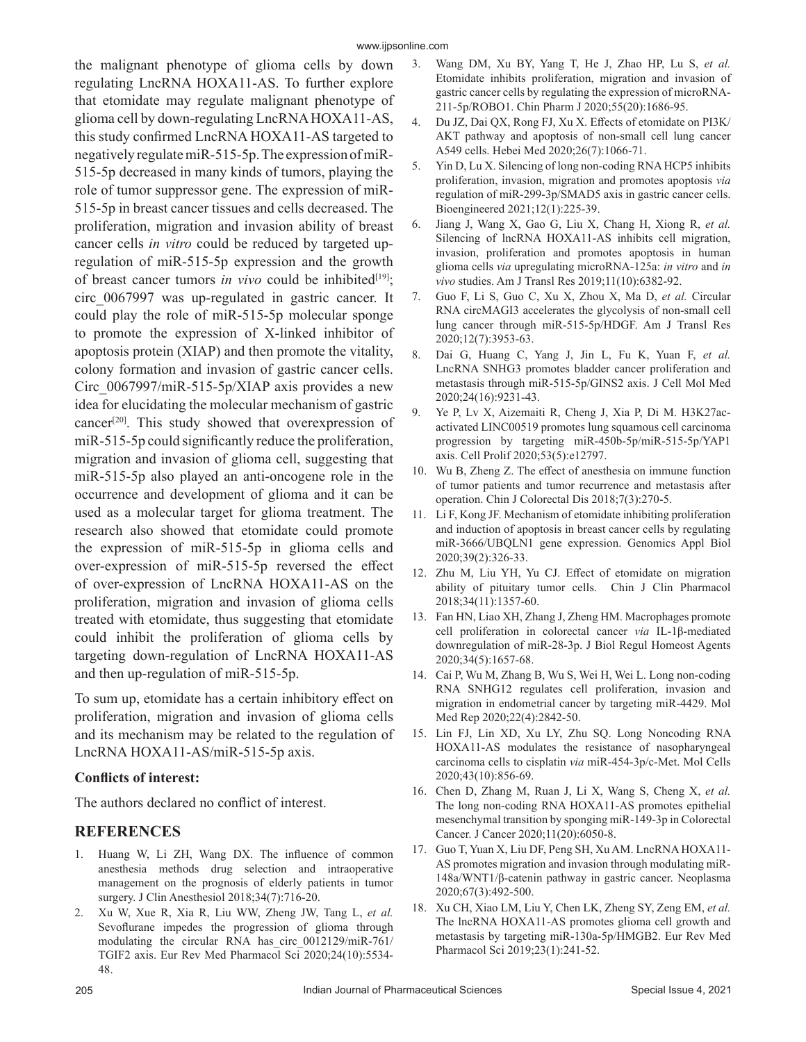the malignant phenotype of glioma cells by down regulating LncRNA HOXA11-AS. To further explore that etomidate may regulate malignant phenotype of glioma cell by down-regulating LncRNA HOXA11-AS, this study confirmed LncRNA HOXA11-AS targeted to negatively regulate miR-515-5p. The expression of miR-515-5p decreased in many kinds of tumors, playing the role of tumor suppressor gene. The expression of miR-515-5p in breast cancer tissues and cells decreased. The proliferation, migration and invasion ability of breast cancer cells *in vitro* could be reduced by targeted upregulation of miR-515-5p expression and the growth of breast cancer tumors *in vivo* could be inhibited<sup>[19]</sup>; circ\_0067997 was up-regulated in gastric cancer. It could play the role of miR-515-5p molecular sponge to promote the expression of X-linked inhibitor of apoptosis protein (XIAP) and then promote the vitality, colony formation and invasion of gastric cancer cells. Circ 0067997/miR-515-5p/XIAP axis provides a new idea for elucidating the molecular mechanism of gastric cancer<sup>[20]</sup>. This study showed that overexpression of miR-515-5p could significantly reduce the proliferation, migration and invasion of glioma cell, suggesting that miR-515-5p also played an anti-oncogene role in the occurrence and development of glioma and it can be used as a molecular target for glioma treatment. The research also showed that etomidate could promote the expression of miR-515-5p in glioma cells and over-expression of miR-515-5p reversed the effect of over-expression of LncRNA HOXA11-AS on the proliferation, migration and invasion of glioma cells treated with etomidate, thus suggesting that etomidate could inhibit the proliferation of glioma cells by targeting down-regulation of LncRNA HOXA11-AS and then up-regulation of miR-515-5p.

To sum up, etomidate has a certain inhibitory effect on proliferation, migration and invasion of glioma cells and its mechanism may be related to the regulation of LncRNA HOXA11-AS/miR-515-5p axis.

### **Conflicts of interest:**

The authors declared no conflict of interest.

# **REFERENCES**

- 1. Huang W, Li ZH, Wang DX. The influence of common anesthesia methods drug selection and intraoperative management on the prognosis of elderly patients in tumor surgery. J Clin Anesthesiol 2018;34(7):716-20.
- 2. Xu W, Xue R, Xia R, Liu WW, Zheng JW, Tang L, *et al.* Sevoflurane impedes the progression of glioma through modulating the circular RNA has\_circ\_0012129/miR-761/ TGIF2 axis. Eur Rev Med Pharmacol Sci 2020;24(10):5534- 48.
- 3. Wang DM, Xu BY, Yang T, He J, Zhao HP, Lu S, *et al.* Etomidate inhibits proliferation, migration and invasion of gastric cancer cells by regulating the expression of microRNA-211-5p/ROBO1. Chin Pharm J 2020;55(20):1686-95.
- 4. Du JZ, Dai QX, Rong FJ, Xu X. Effects of etomidate on PI3K/ AKT pathway and apoptosis of non-small cell lung cancer A549 cells. Hebei Med 2020;26(7):1066-71.
- 5. Yin D, Lu X. Silencing of long non-coding RNA HCP5 inhibits proliferation, invasion, migration and promotes apoptosis *via* regulation of miR-299-3p/SMAD5 axis in gastric cancer cells. Bioengineered 2021;12(1):225-39.
- 6. Jiang J, Wang X, Gao G, Liu X, Chang H, Xiong R, *et al.* Silencing of lncRNA HOXA11-AS inhibits cell migration, invasion, proliferation and promotes apoptosis in human glioma cells *via* upregulating microRNA-125a: *in vitro* and *in vivo* studies. Am J Transl Res 2019;11(10):6382-92.
- 7. Guo F, Li S, Guo C, Xu X, Zhou X, Ma D, *et al.* Circular RNA circMAGI3 accelerates the glycolysis of non-small cell lung cancer through miR-515-5p/HDGF. Am J Transl Res 2020;12(7):3953-63.
- 8. Dai G, Huang C, Yang J, Jin L, Fu K, Yuan F, *et al.* LncRNA SNHG3 promotes bladder cancer proliferation and metastasis through miR‐515‐5p/GINS2 axis. J Cell Mol Med 2020;24(16):9231-43.
- 9. Ye P, Lv X, Aizemaiti R, Cheng J, Xia P, Di M. H3K27acactivated LINC00519 promotes lung squamous cell carcinoma progression by targeting miR‐450b‐5p/miR‐515‐5p/YAP1 axis. Cell Prolif 2020;53(5):e12797.
- 10. Wu B, Zheng Z. The effect of anesthesia on immune function of tumor patients and tumor recurrence and metastasis after operation. Chin J Colorectal Dis 2018;7(3):270-5.
- 11. Li F, Kong JF. Mechanism of etomidate inhibiting proliferation and induction of apoptosis in breast cancer cells by regulating miR-3666/UBQLN1 gene expression. Genomics Appl Biol 2020;39(2):326-33.
- 12. Zhu M, Liu YH, Yu CJ. Effect of etomidate on migration ability of pituitary tumor cells. Chin J Clin Pharmacol 2018;34(11):1357-60.
- 13. Fan HN, Liao XH, Zhang J, Zheng HM. Macrophages promote cell proliferation in colorectal cancer *via* IL-1β-mediated downregulation of miR-28-3p. J Biol Regul Homeost Agents 2020;34(5):1657-68.
- 14. Cai P, Wu M, Zhang B, Wu S, Wei H, Wei L. Long non-coding RNA SNHG12 regulates cell proliferation, invasion and migration in endometrial cancer by targeting miR-4429. Mol Med Rep 2020;22(4):2842-50.
- 15. Lin FJ, Lin XD, Xu LY, Zhu SQ. Long Noncoding RNA HOXA11-AS modulates the resistance of nasopharyngeal carcinoma cells to cisplatin *via* miR-454-3p/c-Met. Mol Cells 2020;43(10):856-69.
- 16. Chen D, Zhang M, Ruan J, Li X, Wang S, Cheng X, *et al.* The long non-coding RNA HOXA11-AS promotes epithelial mesenchymal transition by sponging miR-149-3p in Colorectal Cancer. J Cancer 2020;11(20):6050-8.
- 17. Guo T, Yuan X, Liu DF, Peng SH, Xu AM. LncRNA HOXA11- AS promotes migration and invasion through modulating miR-148a/WNT1/β-catenin pathway in gastric cancer. Neoplasma 2020;67(3):492-500.
- 18. Xu CH, Xiao LM, Liu Y, Chen LK, Zheng SY, Zeng EM, *et al.* The lncRNA HOXA11-AS promotes glioma cell growth and metastasis by targeting miR-130a-5p/HMGB2. Eur Rev Med Pharmacol Sci 2019;23(1):241-52.